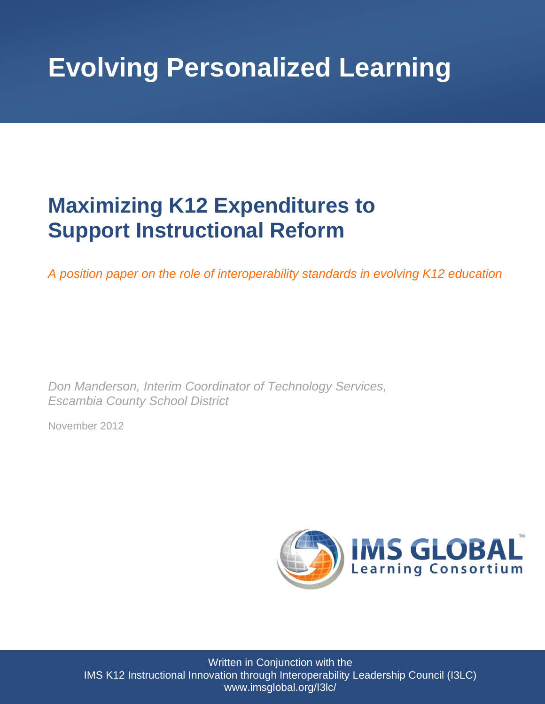# **Evolving Personalized Learning**

## **Maximizing K12 Expenditures to Support Instructional Reform**

*A position paper on the role of interoperability standards in evolving K12 education*

*Don Manderson, Interim Coordinator of Technology Services, Escambia County School District*

November 2012



Written in Conjunction with the IMS K12 Instructional Innovation through Interoperability Leadership Council (I3LC) www.imsglobal.org/I3lc/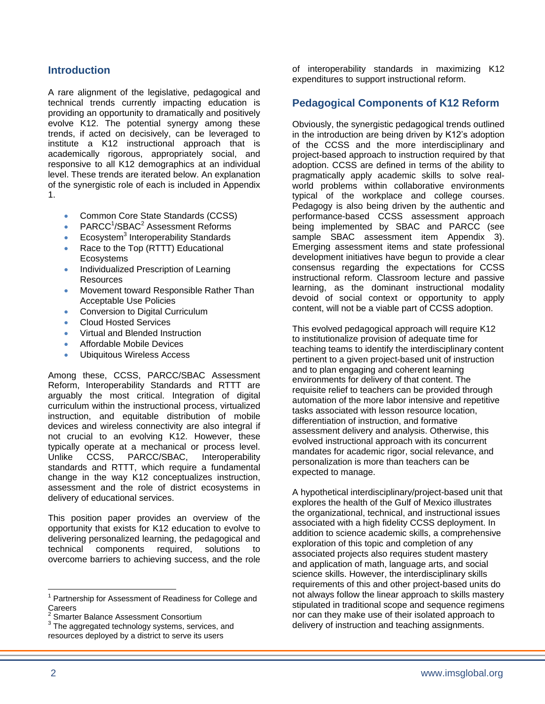#### **Introduction**

A rare alignment of the legislative, pedagogical and technical trends currently impacting education is providing an opportunity to dramatically and positively evolve K12. The potential synergy among these trends, if acted on decisively, can be leveraged to institute a K12 instructional approach that is academically rigorous, appropriately social, and responsive to all K12 demographics at an individual level. These trends are iterated below. An explanation of the synergistic role of each is included in Appendix 1.

- Common Core State Standards (CCSS)
- PARCC<sup>1</sup>/SBAC<sup>2</sup> Assessment Reforms
- Ecosystem<sup>3</sup> Interoperability Standards
- Race to the Top (RTTT) Educational **Ecosystems**
- Individualized Prescription of Learning Resources
- Movement toward Responsible Rather Than Acceptable Use Policies
- Conversion to Digital Curriculum
- Cloud Hosted Services
- Virtual and Blended Instruction
- Affordable Mobile Devices
- Ubiquitous Wireless Access

Among these, CCSS, PARCC/SBAC Assessment Reform, Interoperability Standards and RTTT are arguably the most critical. Integration of digital curriculum within the instructional process, virtualized instruction, and equitable distribution of mobile devices and wireless connectivity are also integral if not crucial to an evolving K12. However, these typically operate at a mechanical or process level. Unlike CCSS, PARCC/SBAC, Interoperability standards and RTTT, which require a fundamental change in the way K12 conceptualizes instruction, assessment and the role of district ecosystems in delivery of educational services.

This position paper provides an overview of the opportunity that exists for K12 education to evolve to delivering personalized learning, the pedagogical and technical components required, solutions to overcome barriers to achieving success, and the role of interoperability standards in maximizing K12 expenditures to support instructional reform.

#### **Pedagogical Components of K12 Reform**

Obviously, the synergistic pedagogical trends outlined in the introduction are being driven by K12's adoption of the CCSS and the more interdisciplinary and project-based approach to instruction required by that adoption. CCSS are defined in terms of the ability to pragmatically apply academic skills to solve realworld problems within collaborative environments typical of the workplace and college courses. Pedagogy is also being driven by the authentic and performance-based CCSS assessment approach being implemented by SBAC and PARCC (see sample SBAC assessment item Appendix 3). Emerging assessment items and state professional development initiatives have begun to provide a clear consensus regarding the expectations for CCSS instructional reform. Classroom lecture and passive learning, as the dominant instructional modality devoid of social context or opportunity to apply content, will not be a viable part of CCSS adoption.

This evolved pedagogical approach will require K12 to institutionalize provision of adequate time for teaching teams to identify the interdisciplinary content pertinent to a given project-based unit of instruction and to plan engaging and coherent learning environments for delivery of that content. The requisite relief to teachers can be provided through automation of the more labor intensive and repetitive tasks associated with lesson resource location, differentiation of instruction, and formative assessment delivery and analysis. Otherwise, this evolved instructional approach with its concurrent mandates for academic rigor, social relevance, and personalization is more than teachers can be expected to manage.

A hypothetical interdisciplinary/project-based unit that explores the health of the Gulf of Mexico illustrates the organizational, technical, and instructional issues associated with a high fidelity CCSS deployment. In addition to science academic skills, a comprehensive exploration of this topic and completion of any associated projects also requires student mastery and application of math, language arts, and social science skills. However, the interdisciplinary skills requirements of this and other project-based units do not always follow the linear approach to skills mastery stipulated in traditional scope and sequence regimens nor can they make use of their isolated approach to delivery of instruction and teaching assignments.

 $\overline{a}$ Partnership for Assessment of Readiness for College and **Careers** 

<sup>2</sup> Smarter Balance Assessment Consortium

 $3$  The aggregated technology systems, services, and resources deployed by a district to serve its users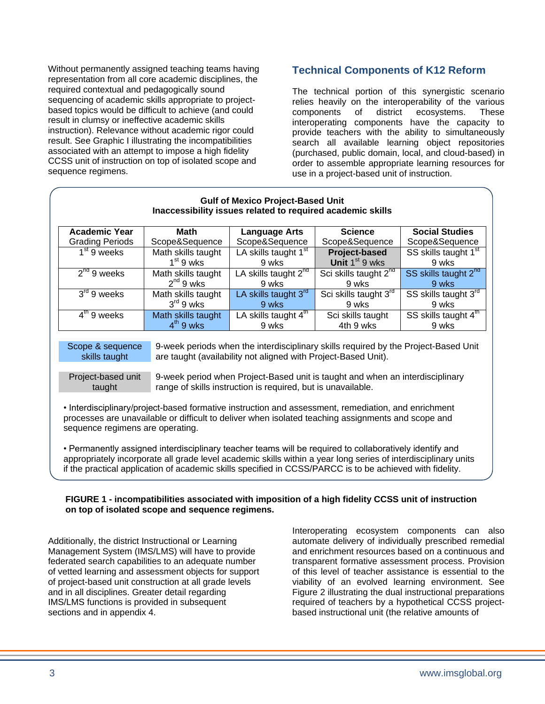Without permanently assigned teaching teams having representation from all core academic disciplines, the required contextual and pedagogically sound sequencing of academic skills appropriate to projectbased topics would be difficult to achieve (and could result in clumsy or ineffective academic skills instruction). Relevance without academic rigor could result. See Graphic I illustrating the incompatibilities associated with an attempt to impose a high fidelity CCSS unit of instruction on top of isolated scope and sequence regimens.

#### **Technical Components of K12 Reform**

The technical portion of this synergistic scenario relies heavily on the interoperability of the various components of district ecosystems. These interoperating components have the capacity to provide teachers with the ability to simultaneously search all available learning object repositories (purchased, public domain, local, and cloud-based) in order to assemble appropriate learning resources for use in a project-based unit of instruction.

| <b>Gulf of Mexico Project-Based Unit</b><br>Inaccessibility issues related to required academic skills                                                                                                                                        |                                                                                                                                               |                                           |                                                                                                                                                                                                                                                                                                                                       |                                           |
|-----------------------------------------------------------------------------------------------------------------------------------------------------------------------------------------------------------------------------------------------|-----------------------------------------------------------------------------------------------------------------------------------------------|-------------------------------------------|---------------------------------------------------------------------------------------------------------------------------------------------------------------------------------------------------------------------------------------------------------------------------------------------------------------------------------------|-------------------------------------------|
| <b>Academic Year</b>                                                                                                                                                                                                                          | <b>Math</b>                                                                                                                                   | <b>Language Arts</b>                      | <b>Science</b>                                                                                                                                                                                                                                                                                                                        | <b>Social Studies</b>                     |
| <b>Grading Periods</b>                                                                                                                                                                                                                        | Scope&Sequence                                                                                                                                | Scope&Sequence                            | Scope&Sequence                                                                                                                                                                                                                                                                                                                        | Scope&Sequence                            |
| $\overline{1^{st}}$ 9 weeks                                                                                                                                                                                                                   | Math skills taught<br>$1st$ 9 wks                                                                                                             | LA skills taught 1 <sup>st</sup><br>9 wks | Project-based<br>Unit $1st 9$ wks                                                                                                                                                                                                                                                                                                     | SS skills taught 1 <sup>st</sup><br>9 wks |
| $2^{nd}$ 9 weeks                                                                                                                                                                                                                              | Math skills taught<br>$2^{nd}$ 9 wks                                                                                                          | LA skills taught 2 <sup>nd</sup><br>9 wks | Sci skills taught $2^{\overline{nd}}$<br>9 wks                                                                                                                                                                                                                                                                                        | SS skills taught 2 <sup>nd</sup><br>9 wks |
| $3rd$ 9 weeks                                                                                                                                                                                                                                 | Math skills taught<br>$3rd 9$ wks                                                                                                             | LA skills taught 3rd<br>9 wks             | Sci skills taught 3 <sup>rd</sup><br>9 wks                                                                                                                                                                                                                                                                                            | SS skills taught 3rd<br>9 wks             |
| $4th$ 9 weeks                                                                                                                                                                                                                                 | Math skills taught<br>$4th$ 9 wks                                                                                                             | LA skills taught 4 <sup>th</sup><br>9 wks | Sci skills taught<br>4th 9 wks                                                                                                                                                                                                                                                                                                        | SS skills taught 4 <sup>th</sup><br>9 wks |
| Scope & sequence<br>9-week periods when the interdisciplinary skills required by the Project-Based Unit<br>are taught (availability not aligned with Project-Based Unit).<br>skills taught                                                    |                                                                                                                                               |                                           |                                                                                                                                                                                                                                                                                                                                       |                                           |
| Project-based unit<br>taught                                                                                                                                                                                                                  | 9-week period when Project-Based unit is taught and when an interdisciplinary<br>range of skills instruction is required, but is unavailable. |                                           |                                                                                                                                                                                                                                                                                                                                       |                                           |
| • Interdisciplinary/project-based formative instruction and assessment, remediation, and enrichment<br>processes are unavailable or difficult to deliver when isolated teaching assignments and scope and<br>sequence regimens are operating. |                                                                                                                                               |                                           |                                                                                                                                                                                                                                                                                                                                       |                                           |
|                                                                                                                                                                                                                                               |                                                                                                                                               |                                           | • Permanently assigned interdisciplinary teacher teams will be required to collaboratively identify and<br>appropriately incorporate all grade level academic skills within a year long series of interdisciplinary units<br>if the practical application of academic skills specified in CCSS/PARCC is to be achieved with fidelity. |                                           |

#### **FIGURE 1 - incompatibilities associated with imposition of a high fidelity CCSS unit of instruction on top of isolated scope and sequence regimens.**

Additionally, the district Instructional or Learning Management System (IMS/LMS) will have to provide federated search capabilities to an adequate number of vetted learning and assessment objects for support of project-based unit construction at all grade levels and in all disciplines. Greater detail regarding IMS/LMS functions is provided in subsequent sections and in appendix 4.

Interoperating ecosystem components can also automate delivery of individually prescribed remedial and enrichment resources based on a continuous and transparent formative assessment process. Provision of this level of teacher assistance is essential to the viability of an evolved learning environment. See Figure 2 illustrating the dual instructional preparations required of teachers by a hypothetical CCSS projectbased instructional unit (the relative amounts of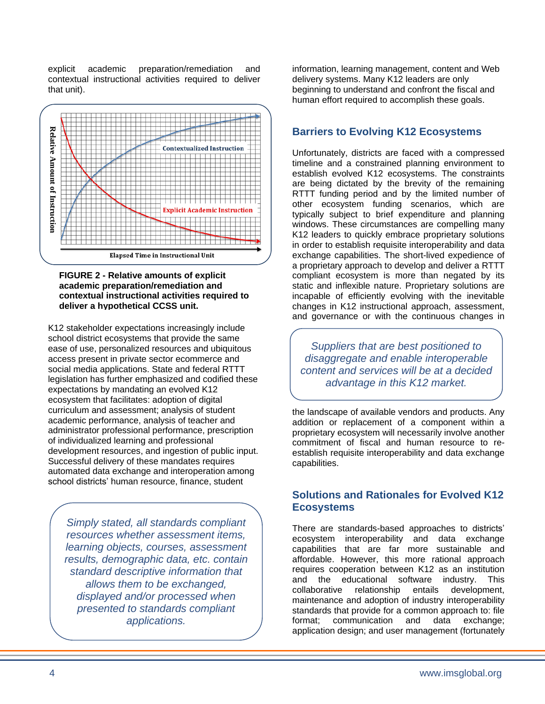explicit academic preparation/remediation and contextual instructional activities required to deliver that unit).



#### **FIGURE 2 - Relative amounts of explicit academic preparation/remediation and contextual instructional activities required to deliver a hypothetical CCSS unit.**

K12 stakeholder expectations increasingly include school district ecosystems that provide the same ease of use, personalized resources and ubiquitous access present in private sector ecommerce and social media applications. State and federal RTTT legislation has further emphasized and codified these expectations by mandating an evolved K12 ecosystem that facilitates: adoption of digital curriculum and assessment; analysis of student academic performance, analysis of teacher and administrator professional performance, prescription of individualized learning and professional development resources, and ingestion of public input. Successful delivery of these mandates requires automated data exchange and interoperation among school districts' human resource, finance, student

*Simply stated, all standards compliant resources whether assessment items, learning objects, courses, assessment results, demographic data, etc. contain standard descriptive information that allows them to be exchanged, displayed and/or processed when presented to standards compliant applications.*

information, learning management, content and Web delivery systems. Many K12 leaders are only beginning to understand and confront the fiscal and human effort required to accomplish these goals.

#### **Barriers to Evolving K12 Ecosystems**

Unfortunately, districts are faced with a compressed timeline and a constrained planning environment to establish evolved K12 ecosystems. The constraints are being dictated by the brevity of the remaining RTTT funding period and by the limited number of other ecosystem funding scenarios, which are typically subject to brief expenditure and planning windows. These circumstances are compelling many K12 leaders to quickly embrace proprietary solutions in order to establish requisite interoperability and data exchange capabilities. The short-lived expedience of a proprietary approach to develop and deliver a RTTT compliant ecosystem is more than negated by its static and inflexible nature. Proprietary solutions are incapable of efficiently evolving with the inevitable changes in K12 instructional approach, assessment, and governance or with the continuous changes in

*Suppliers that are best positioned to disaggregate and enable interoperable content and services will be at a decided advantage in this K12 market.*

the landscape of available vendors and products. Any addition or replacement of a component within a proprietary ecosystem will necessarily involve another commitment of fiscal and human resource to reestablish requisite interoperability and data exchange capabilities.

#### **Solutions and Rationales for Evolved K12 Ecosystems**

There are standards-based approaches to districts' ecosystem interoperability and data exchange capabilities that are far more sustainable and affordable. However, this more rational approach requires cooperation between K12 as an institution and the educational software industry. This collaborative relationship entails development, maintenance and adoption of industry interoperability standards that provide for a common approach to: file format; communication and data exchange; application design; and user management (fortunately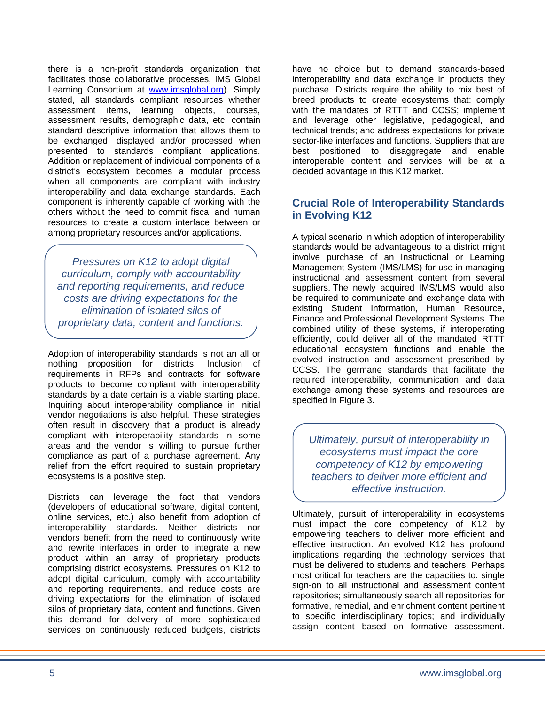there is a non-profit standards organization that facilitates those collaborative processes, IMS Global Learning Consortium at [www.imsglobal.org\)](http://www.imsglobal.org/). Simply stated, all standards compliant resources whether assessment items, learning objects, courses, assessment results, demographic data, etc. contain standard descriptive information that allows them to be exchanged, displayed and/or processed when presented to standards compliant applications. Addition or replacement of individual components of a district's ecosystem becomes a modular process when all components are compliant with industry interoperability and data exchange standards. Each component is inherently capable of working with the others without the need to commit fiscal and human resources to create a custom interface between or among proprietary resources and/or applications.

*Pressures on K12 to adopt digital curriculum, comply with accountability and reporting requirements, and reduce costs are driving expectations for the elimination of isolated silos of proprietary data, content and functions.*

Adoption of interoperability standards is not an all or nothing proposition for districts. Inclusion of requirements in RFPs and contracts for software products to become compliant with interoperability standards by a date certain is a viable starting place. Inquiring about interoperability compliance in initial vendor negotiations is also helpful. These strategies often result in discovery that a product is already compliant with interoperability standards in some areas and the vendor is willing to pursue further compliance as part of a purchase agreement. Any relief from the effort required to sustain proprietary ecosystems is a positive step.

Districts can leverage the fact that vendors (developers of educational software, digital content, online services, etc.) also benefit from adoption of interoperability standards. Neither districts nor vendors benefit from the need to continuously write and rewrite interfaces in order to integrate a new product within an array of proprietary products comprising district ecosystems. Pressures on K12 to adopt digital curriculum, comply with accountability and reporting requirements, and reduce costs are driving expectations for the elimination of isolated silos of proprietary data, content and functions. Given this demand for delivery of more sophisticated services on continuously reduced budgets, districts have no choice but to demand standards-based interoperability and data exchange in products they purchase. Districts require the ability to mix best of breed products to create ecosystems that: comply with the mandates of RTTT and CCSS; implement and leverage other legislative, pedagogical, and technical trends; and address expectations for private sector-like interfaces and functions. Suppliers that are best positioned to disaggregate and enable interoperable content and services will be at a decided advantage in this K12 market.

#### **Crucial Role of Interoperability Standards in Evolving K12**

A typical scenario in which adoption of interoperability standards would be advantageous to a district might involve purchase of an Instructional or Learning Management System (IMS/LMS) for use in managing instructional and assessment content from several suppliers. The newly acquired IMS/LMS would also be required to communicate and exchange data with existing Student Information, Human Resource, Finance and Professional Development Systems. The combined utility of these systems, if interoperating efficiently, could deliver all of the mandated RTTT educational ecosystem functions and enable the evolved instruction and assessment prescribed by CCSS. The germane standards that facilitate the required interoperability, communication and data exchange among these systems and resources are specified in Figure 3.

*Ultimately, pursuit of interoperability in ecosystems must impact the core competency of K12 by empowering teachers to deliver more efficient and effective instruction.*

Ultimately, pursuit of interoperability in ecosystems must impact the core competency of K12 by empowering teachers to deliver more efficient and effective instruction. An evolved K12 has profound implications regarding the technology services that must be delivered to students and teachers. Perhaps most critical for teachers are the capacities to: single sign-on to all instructional and assessment content repositories; simultaneously search all repositories for formative, remedial, and enrichment content pertinent to specific interdisciplinary topics; and individually assign content based on formative assessment.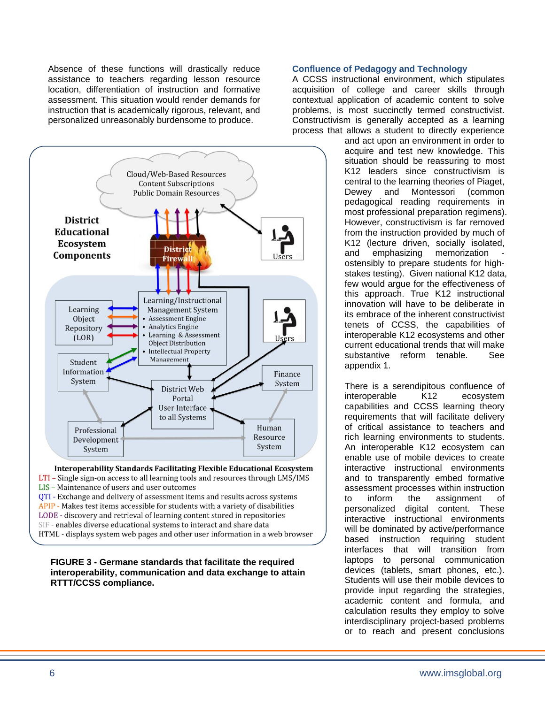Absence of these functions will drastically reduce assistance to teachers regarding lesson resource location, differentiation of instruction and formative assessment. This situation would render demands for instruction that is academically rigorous, relevant, and personalized unreasonably burdensome to produce.



**Interoperability Standards Facilitating Flexible Educational Ecosystem** LTI - Single sign-on access to all learning tools and resources through LMS/IMS LIS - Maintenance of users and user outcomes QTI - Exchange and delivery of assessment items and results across systems APIP - Makes test items accessible for students with a variety of disabilities LODE - discovery and retrieval of learning content stored in repositories SIF - enables diverse educational systems to interact and share data HTML - displays system web pages and other user information in a web browser

#### **FIGURE 3 - Germane standards that facilitate the required interoperability, communication and data exchange to attain RTTT/CCSS compliance.**

#### **Confluence of Pedagogy and Technology**

A CCSS instructional environment, which stipulates acquisition of college and career skills through contextual application of academic content to solve problems, is most succinctly termed constructivist. Constructivism is generally accepted as a learning process that allows a student to directly experience

and act upon an environment in order to acquire and test new knowledge. This situation should be reassuring to most K12 leaders since constructivism is central to the learning theories of Piaget, Dewey and Montessori (common pedagogical reading requirements in most professional preparation regimens). However, constructivism is far removed from the instruction provided by much of K12 (lecture driven, socially isolated, and emphasizing memorization ostensibly to prepare students for highstakes testing). Given national K12 data, few would argue for the effectiveness of this approach. True K12 instructional innovation will have to be deliberate in its embrace of the inherent constructivist tenets of CCSS, the capabilities of interoperable K12 ecosystems and other current educational trends that will make substantive reform tenable. See appendix 1.

There is a serendipitous confluence of interoperable K12 ecosystem capabilities and CCSS learning theory requirements that will facilitate delivery of critical assistance to teachers and rich learning environments to students. An interoperable K12 ecosystem can enable use of mobile devices to create interactive instructional environments and to transparently embed formative assessment processes within instruction to inform the assignment of personalized digital content. These interactive instructional environments will be dominated by active/performance based instruction requiring student interfaces that will transition from laptops to personal communication devices (tablets, smart phones, etc.). Students will use their mobile devices to provide input regarding the strategies, academic content and formula, and calculation results they employ to solve interdisciplinary project-based problems or to reach and present conclusions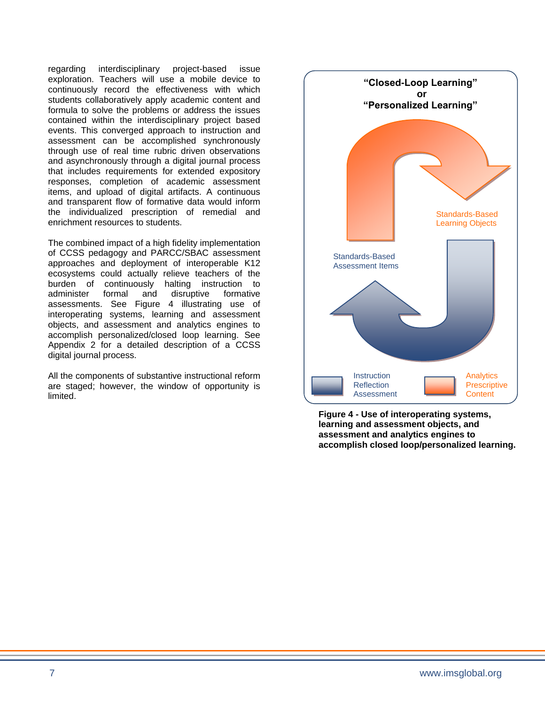regarding interdisciplinary project-based issue exploration. Teachers will use a mobile device to continuously record the effectiveness with which students collaboratively apply academic content and formula to solve the problems or address the issues contained within the interdisciplinary project based events. This converged approach to instruction and assessment can be accomplished synchronously through use of real time rubric driven observations and asynchronously through a digital journal process that includes requirements for extended expository responses, completion of academic assessment items, and upload of digital artifacts. A continuous and transparent flow of formative data would inform the individualized prescription of remedial and enrichment resources to students.

The combined impact of a high fidelity implementation of CCSS pedagogy and PARCC/SBAC assessment approaches and deployment of interoperable K12 ecosystems could actually relieve teachers of the burden of continuously halting instruction to administer formal and disruptive formative assessments. See Figure 4 illustrating use of interoperating systems, learning and assessment objects, and assessment and analytics engines to accomplish personalized/closed loop learning. See Appendix 2 for a detailed description of a CCSS digital journal process.

All the components of substantive instructional reform are staged; however, the window of opportunity is limited.



**Figure 4 - Use of interoperating systems, learning and assessment objects, and assessment and analytics engines to accomplish closed loop/personalized learning.**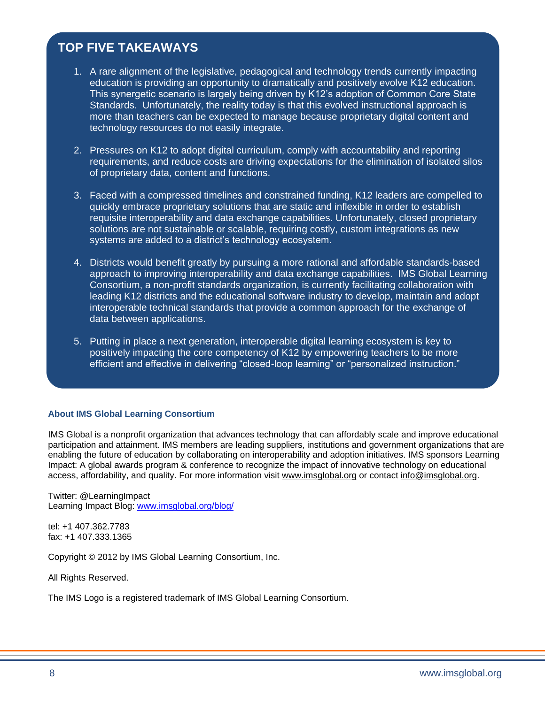### **TOP FIVE TAKEAWAYS**

- 1. A rare alignment of the legislative, pedagogical and technology trends currently impacting education is providing an opportunity to dramatically and positively evolve K12 education. This synergetic scenario is largely being driven by K12's adoption of Common Core State Standards. Unfortunately, the reality today is that this evolved instructional approach is more than teachers can be expected to manage because proprietary digital content and technology resources do not easily integrate.
- 2. Pressures on K12 to adopt digital curriculum, comply with accountability and reporting requirements, and reduce costs are driving expectations for the elimination of isolated silos of proprietary data, content and functions.
- 3. Faced with a compressed timelines and constrained funding, K12 leaders are compelled to quickly embrace proprietary solutions that are static and inflexible in order to establish requisite interoperability and data exchange capabilities. Unfortunately, closed proprietary solutions are not sustainable or scalable, requiring costly, custom integrations as new systems are added to a district's technology ecosystem.
- 4. Districts would benefit greatly by pursuing a more rational and affordable standards-based approach to improving interoperability and data exchange capabilities. IMS Global Learning Consortium, a non-profit standards organization, is currently facilitating collaboration with leading K12 districts and the educational software industry to develop, maintain and adopt interoperable technical standards that provide a common approach for the exchange of data between applications.
- 5. Putting in place a next generation, interoperable digital learning ecosystem is key to positively impacting the core competency of K12 by empowering teachers to be more efficient and effective in delivering "closed-loop learning" or "personalized instruction."

#### **About IMS Global Learning Consortium**

IMS Global is a nonprofit organization that advances technology that can affordably scale and improve educational participation and attainment. IMS members are leading suppliers, institutions and government organizations that are enabling the future of education by collaborating on interoperability and adoption initiatives. IMS sponsors Learning Impact: A global awards program & conference to recognize the impact of innovative technology on educational access, affordability, and quality. For more information visit [www.imsglobal.org](http://www.imsglobal.org/) or contact [info@imsglobal.org.](mailto:info%40imsglobal.org?subject=)

Twitter: @LearningImpact Learning Impact Blog: [www.imsglobal.org/blog/](http://www.imsglobal.org/blog/)

tel: +1 407.362.7783 fax: +1 407.333.1365

Copyright © 2012 by IMS Global Learning Consortium, Inc.

All Rights Reserved.

The IMS Logo is a registered trademark of IMS Global Learning Consortium.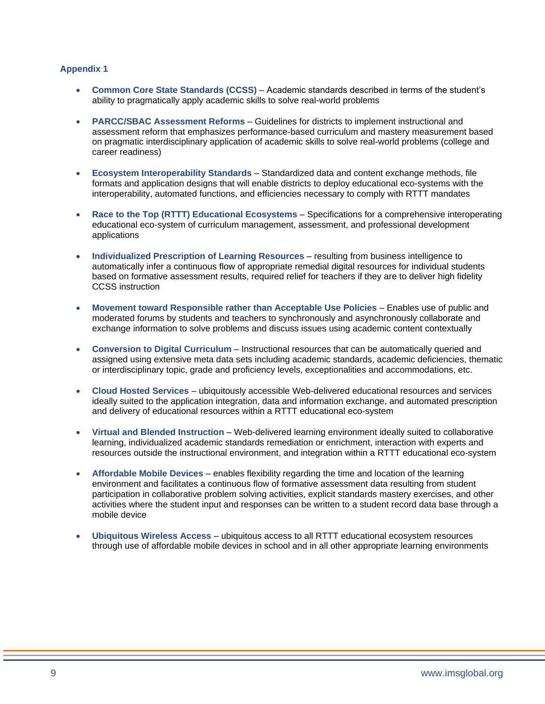- **Common Core State Standards (CCSS)** Academic standards described in terms of the student's ability to pragmatically apply academic skills to solve real-world problems
- **PARCC/SBAC Assessment Reforms** Guidelines for districts to implement instructional and assessment reform that emphasizes performance-based curriculum and mastery measurement based on pragmatic interdisciplinary application of academic skills to solve real-world problems (college and career readiness)
- **Ecosystem Interoperability Standards** Standardized data and content exchange methods, file formats and application designs that will enable districts to deploy educational eco-systems with the interoperability, automated functions, and efficiencies necessary to comply with RTTT mandates
- **Race to the Top (RTTT) Educational Ecosystems** Specifications for a comprehensive interoperating educational eco-system of curriculum management, assessment, and professional development applications
- **Individualized Prescription of Learning Resources** resulting from business intelligence to automatically infer a continuous flow of appropriate remedial digital resources for individual students based on formative assessment results, required relief for teachers if they are to deliver high fidelity CCSS instruction
- **Movement toward Responsible rather than Acceptable Use Policies** Enables use of public and moderated forums by students and teachers to synchronously and asynchronously collaborate and exchange information to solve problems and discuss issues using academic content contextually
- **Conversion to Digital Curriculum** Instructional resources that can be automatically queried and assigned using extensive meta data sets including academic standards, academic deficiencies, thematic or interdisciplinary topic, grade and proficiency levels, exceptionalities and accommodations, etc.
- **Cloud Hosted Services** ubiquitously accessible Web-delivered educational resources and services ideally suited to the application integration, data and information exchange, and automated prescription and delivery of educational resources within a RTTT educational eco-system
- **Virtual and Blended Instruction** Web-delivered learning environment ideally suited to collaborative learning, individualized academic standards remediation or enrichment, interaction with experts and resources outside the instructional environment, and integration within a RTTT educational eco-system
- **Affordable Mobile Devices** enables flexibility regarding the time and location of the learning environment and facilitates a continuous flow of formative assessment data resulting from student participation in collaborative problem solving activities, explicit standards mastery exercises, and other activities where the student input and responses can be written to a student record data base through a mobile device
- **Ubiquitous Wireless Access** ubiquitous access to all RTTT educational ecosystem resources through use of affordable mobile devices in school and in all other appropriate learning environments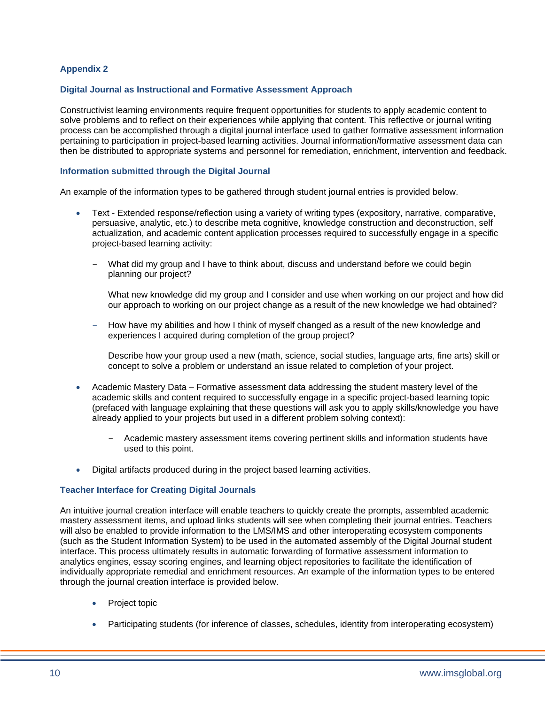#### **Digital Journal as Instructional and Formative Assessment Approach**

Constructivist learning environments require frequent opportunities for students to apply academic content to solve problems and to reflect on their experiences while applying that content. This reflective or journal writing process can be accomplished through a digital journal interface used to gather formative assessment information pertaining to participation in project-based learning activities. Journal information/formative assessment data can then be distributed to appropriate systems and personnel for remediation, enrichment, intervention and feedback.

#### **Information submitted through the Digital Journal**

An example of the information types to be gathered through student journal entries is provided below.

- Text Extended response/reflection using a variety of writing types (expository, narrative, comparative, persuasive, analytic, etc.) to describe meta cognitive, knowledge construction and deconstruction, self actualization, and academic content application processes required to successfully engage in a specific project-based learning activity:
	- What did my group and I have to think about, discuss and understand before we could begin planning our project?
	- What new knowledge did my group and I consider and use when working on our project and how did our approach to working on our project change as a result of the new knowledge we had obtained?
	- How have my abilities and how I think of myself changed as a result of the new knowledge and experiences I acquired during completion of the group project?
	- Describe how your group used a new (math, science, social studies, language arts, fine arts) skill or concept to solve a problem or understand an issue related to completion of your project.
- Academic Mastery Data Formative assessment data addressing the student mastery level of the academic skills and content required to successfully engage in a specific project-based learning topic (prefaced with language explaining that these questions will ask you to apply skills/knowledge you have already applied to your projects but used in a different problem solving context):
	- Academic mastery assessment items covering pertinent skills and information students have used to this point.
- Digital artifacts produced during in the project based learning activities.

#### **Teacher Interface for Creating Digital Journals**

An intuitive journal creation interface will enable teachers to quickly create the prompts, assembled academic mastery assessment items, and upload links students will see when completing their journal entries. Teachers will also be enabled to provide information to the LMS/IMS and other interoperating ecosystem components (such as the Student Information System) to be used in the automated assembly of the Digital Journal student interface. This process ultimately results in automatic forwarding of formative assessment information to analytics engines, essay scoring engines, and learning object repositories to facilitate the identification of individually appropriate remedial and enrichment resources. An example of the information types to be entered through the journal creation interface is provided below.

- Project topic
- Participating students (for inference of classes, schedules, identity from interoperating ecosystem)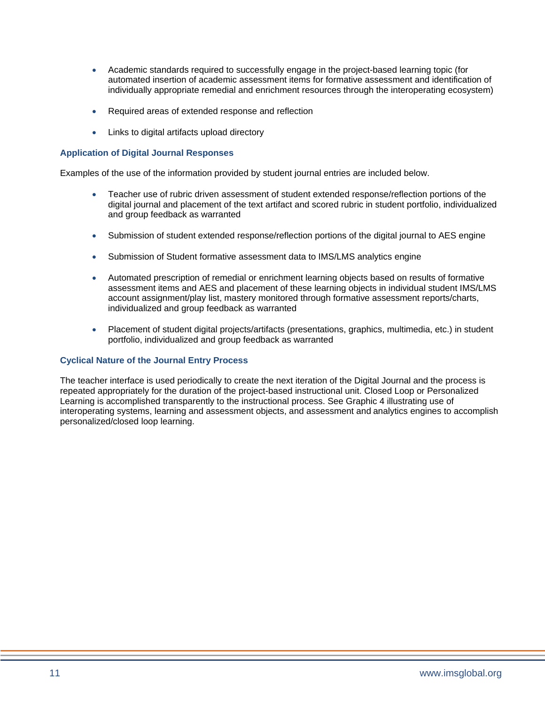- Academic standards required to successfully engage in the project-based learning topic (for automated insertion of academic assessment items for formative assessment and identification of individually appropriate remedial and enrichment resources through the interoperating ecosystem)
- Required areas of extended response and reflection
- Links to digital artifacts upload directory

#### **Application of Digital Journal Responses**

Examples of the use of the information provided by student journal entries are included below.

- Teacher use of rubric driven assessment of student extended response/reflection portions of the digital journal and placement of the text artifact and scored rubric in student portfolio, individualized and group feedback as warranted
- Submission of student extended response/reflection portions of the digital journal to AES engine
- Submission of Student formative assessment data to IMS/LMS analytics engine
- Automated prescription of remedial or enrichment learning objects based on results of formative assessment items and AES and placement of these learning objects in individual student IMS/LMS account assignment/play list, mastery monitored through formative assessment reports/charts, individualized and group feedback as warranted
- Placement of student digital projects/artifacts (presentations, graphics, multimedia, etc.) in student portfolio, individualized and group feedback as warranted

#### **Cyclical Nature of the Journal Entry Process**

The teacher interface is used periodically to create the next iteration of the Digital Journal and the process is repeated appropriately for the duration of the project-based instructional unit. Closed Loop or Personalized Learning is accomplished transparently to the instructional process. See Graphic 4 illustrating use of interoperating systems, learning and assessment objects, and assessment and analytics engines to accomplish personalized/closed loop learning.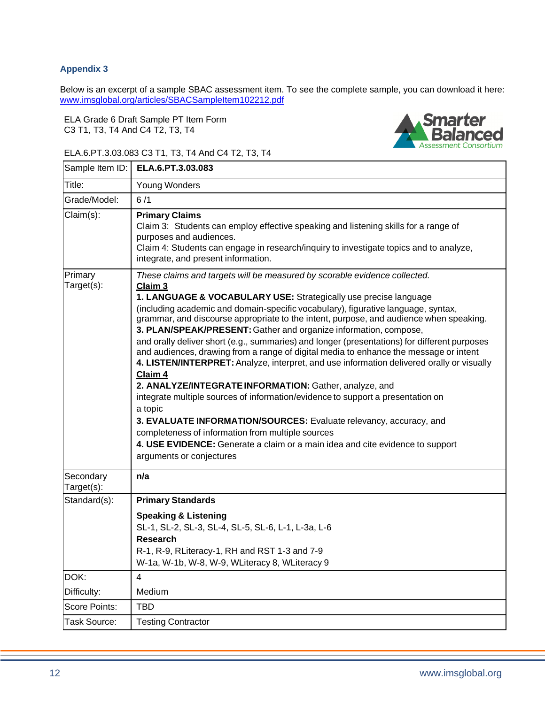Below is an excerpt of a sample SBAC assessment item. To see the complete sample, you can download it here: [www.imsglobal.org/articles/SBACSampleItem102212.pdf](http://www.imsglobal.org/articles/SBACSampleItem102212.pdf)

ELA Grade 6 Draft Sample PT Item Form C3 T1, T3, T4 And C4 T2, T3, T4



#### ELA.6.PT.3.03.083 C3 T1, T3, T4 And C4 T2, T3, T4

| ELA.6.PT.3.03.083<br>Sample Item ID:                                                                                                                                                                                                                                                                                                                                                                                                                                                                                                                                                                                                                                                                                                                                                                                                                                                                                                                                                                                                                                                                         |
|--------------------------------------------------------------------------------------------------------------------------------------------------------------------------------------------------------------------------------------------------------------------------------------------------------------------------------------------------------------------------------------------------------------------------------------------------------------------------------------------------------------------------------------------------------------------------------------------------------------------------------------------------------------------------------------------------------------------------------------------------------------------------------------------------------------------------------------------------------------------------------------------------------------------------------------------------------------------------------------------------------------------------------------------------------------------------------------------------------------|
| Young Wonders                                                                                                                                                                                                                                                                                                                                                                                                                                                                                                                                                                                                                                                                                                                                                                                                                                                                                                                                                                                                                                                                                                |
| 6/1                                                                                                                                                                                                                                                                                                                                                                                                                                                                                                                                                                                                                                                                                                                                                                                                                                                                                                                                                                                                                                                                                                          |
| <b>Primary Claims</b><br>Claim 3: Students can employ effective speaking and listening skills for a range of<br>purposes and audiences.<br>Claim 4: Students can engage in research/inquiry to investigate topics and to analyze,<br>integrate, and present information.                                                                                                                                                                                                                                                                                                                                                                                                                                                                                                                                                                                                                                                                                                                                                                                                                                     |
| These claims and targets will be measured by scorable evidence collected.<br>Claim 3<br>1. LANGUAGE & VOCABULARY USE: Strategically use precise language<br>(including academic and domain-specific vocabulary), figurative language, syntax,<br>grammar, and discourse appropriate to the intent, purpose, and audience when speaking.<br>3. PLAN/SPEAK/PRESENT: Gather and organize information, compose,<br>and orally deliver short (e.g., summaries) and longer (presentations) for different purposes<br>and audiences, drawing from a range of digital media to enhance the message or intent<br>4. LISTEN/INTERPRET: Analyze, interpret, and use information delivered orally or visually<br>Claim 4<br>2. ANALYZE/INTEGRATE INFORMATION: Gather, analyze, and<br>integrate multiple sources of information/evidence to support a presentation on<br>a topic<br>3. EVALUATE INFORMATION/SOURCES: Evaluate relevancy, accuracy, and<br>completeness of information from multiple sources<br>4. USE EVIDENCE: Generate a claim or a main idea and cite evidence to support<br>arguments or conjectures |
| n/a                                                                                                                                                                                                                                                                                                                                                                                                                                                                                                                                                                                                                                                                                                                                                                                                                                                                                                                                                                                                                                                                                                          |
| <b>Primary Standards</b>                                                                                                                                                                                                                                                                                                                                                                                                                                                                                                                                                                                                                                                                                                                                                                                                                                                                                                                                                                                                                                                                                     |
| <b>Speaking &amp; Listening</b><br>SL-1, SL-2, SL-3, SL-4, SL-5, SL-6, L-1, L-3a, L-6<br><b>Research</b><br>R-1, R-9, RLiteracy-1, RH and RST 1-3 and 7-9<br>W-1a, W-1b, W-8, W-9, WLiteracy 8, WLiteracy 9                                                                                                                                                                                                                                                                                                                                                                                                                                                                                                                                                                                                                                                                                                                                                                                                                                                                                                  |
| 4                                                                                                                                                                                                                                                                                                                                                                                                                                                                                                                                                                                                                                                                                                                                                                                                                                                                                                                                                                                                                                                                                                            |
| Medium                                                                                                                                                                                                                                                                                                                                                                                                                                                                                                                                                                                                                                                                                                                                                                                                                                                                                                                                                                                                                                                                                                       |
| <b>TBD</b>                                                                                                                                                                                                                                                                                                                                                                                                                                                                                                                                                                                                                                                                                                                                                                                                                                                                                                                                                                                                                                                                                                   |
| <b>Testing Contractor</b>                                                                                                                                                                                                                                                                                                                                                                                                                                                                                                                                                                                                                                                                                                                                                                                                                                                                                                                                                                                                                                                                                    |
|                                                                                                                                                                                                                                                                                                                                                                                                                                                                                                                                                                                                                                                                                                                                                                                                                                                                                                                                                                                                                                                                                                              |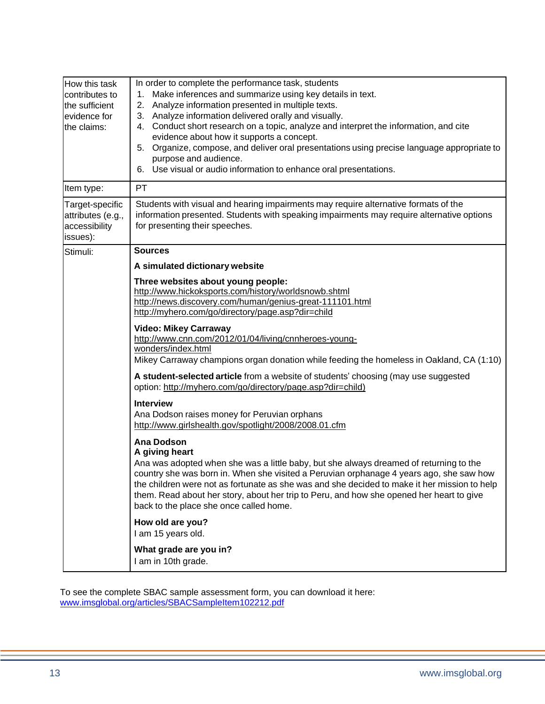| How this task<br>contributes to<br>the sufficient<br>evidence for<br>the claims: | In order to complete the performance task, students<br>1. Make inferences and summarize using key details in text.<br>2. Analyze information presented in multiple texts.<br>3. Analyze information delivered orally and visually.<br>4. Conduct short research on a topic, analyze and interpret the information, and cite<br>evidence about how it supports a concept.<br>5. Organize, compose, and deliver oral presentations using precise language appropriate to<br>purpose and audience.<br>6. Use visual or audio information to enhance oral presentations. |  |  |  |
|----------------------------------------------------------------------------------|----------------------------------------------------------------------------------------------------------------------------------------------------------------------------------------------------------------------------------------------------------------------------------------------------------------------------------------------------------------------------------------------------------------------------------------------------------------------------------------------------------------------------------------------------------------------|--|--|--|
| Item type:                                                                       | PT                                                                                                                                                                                                                                                                                                                                                                                                                                                                                                                                                                   |  |  |  |
| Target-specific<br>attributes (e.g.,<br>accessibility<br>issues):                | Students with visual and hearing impairments may require alternative formats of the<br>information presented. Students with speaking impairments may require alternative options<br>for presenting their speeches.                                                                                                                                                                                                                                                                                                                                                   |  |  |  |
| Stimuli:                                                                         | <b>Sources</b>                                                                                                                                                                                                                                                                                                                                                                                                                                                                                                                                                       |  |  |  |
|                                                                                  | A simulated dictionary website                                                                                                                                                                                                                                                                                                                                                                                                                                                                                                                                       |  |  |  |
|                                                                                  | Three websites about young people:<br>http://www.hickoksports.com/history/worldsnowb.shtml<br>http://news.discovery.com/human/genius-great-111101.html<br>http://myhero.com/go/directory/page.asp?dir=child                                                                                                                                                                                                                                                                                                                                                          |  |  |  |
|                                                                                  | <b>Video: Mikey Carraway</b><br>http://www.cnn.com/2012/01/04/living/cnnheroes-young-<br>wonders/index.html<br>Mikey Carraway champions organ donation while feeding the homeless in Oakland, CA (1:10)                                                                                                                                                                                                                                                                                                                                                              |  |  |  |
|                                                                                  | A student-selected article from a website of students' choosing (may use suggested<br>option: http://myhero.com/go/directory/page.asp?dir=child)                                                                                                                                                                                                                                                                                                                                                                                                                     |  |  |  |
|                                                                                  | <b>Interview</b><br>Ana Dodson raises money for Peruvian orphans<br>http://www.girlshealth.gov/spotlight/2008/2008.01.cfm                                                                                                                                                                                                                                                                                                                                                                                                                                            |  |  |  |
|                                                                                  | <b>Ana Dodson</b><br>A giving heart<br>Ana was adopted when she was a little baby, but she always dreamed of returning to the<br>country she was born in. When she visited a Peruvian orphanage 4 years ago, she saw how<br>the children were not as fortunate as she was and she decided to make it her mission to help<br>them. Read about her story, about her trip to Peru, and how she opened her heart to give<br>back to the place she once called home.                                                                                                      |  |  |  |
|                                                                                  | How old are you?<br>I am 15 years old.                                                                                                                                                                                                                                                                                                                                                                                                                                                                                                                               |  |  |  |
|                                                                                  | What grade are you in?<br>I am in 10th grade.                                                                                                                                                                                                                                                                                                                                                                                                                                                                                                                        |  |  |  |

To see the complete SBAC sample assessment form, you can download it here: [www.imsglobal.org/articles/SBACSampleItem102212.pdf](http://www.imsglobal.org/articles/SBACSampleItem102212.pdf)